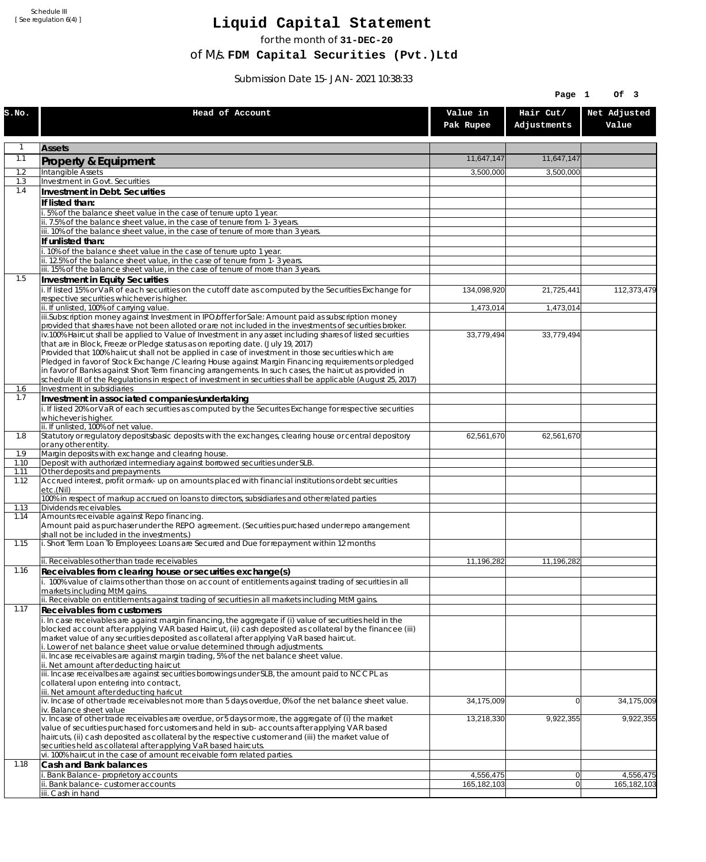Schedule III [ See regulation 6(4) ]

## **Liquid Capital Statement**

for the month of **31-DEC-20**

of M/s. **FDM Capital Securities (Pvt.)Ltd**

Submission Date 15-JAN-2021 10:38:33

|              |                                                                                                                                                                                                                        |                       | Page 1                   | Of 3                  |
|--------------|------------------------------------------------------------------------------------------------------------------------------------------------------------------------------------------------------------------------|-----------------------|--------------------------|-----------------------|
| S.NO.        | Head of Account                                                                                                                                                                                                        | Value in<br>Pak Rupee | Hair Cut/<br>Adjustments | Net Adjusted<br>Value |
| $\mathbf{1}$ | <b>Assets</b>                                                                                                                                                                                                          |                       |                          |                       |
| 1.1          | Property & Equipment                                                                                                                                                                                                   | 11.647.147            | 11.647.147               |                       |
| 1.2          | <b>Intangible Assets</b>                                                                                                                                                                                               | 3,500,000             | 3,500,000                |                       |
| 1.3          | <b>Investment in Govt. Securities</b>                                                                                                                                                                                  |                       |                          |                       |
| 1.4          | Investment in Debt. Securities                                                                                                                                                                                         |                       |                          |                       |
|              | If listed than:<br>5% of the balance sheet value in the case of tenure upto 1 year.                                                                                                                                    |                       |                          |                       |
|              | ii. 7.5% of the balance sheet value, in the case of tenure from 1-3 years.                                                                                                                                             |                       |                          |                       |
|              | iii. 10% of the balance sheet value, in the case of tenure of more than 3 years.                                                                                                                                       |                       |                          |                       |
|              | If unlisted than:<br>.10% of the balance sheet value in the case of tenure upto 1 year.                                                                                                                                |                       |                          |                       |
|              | ii. 12.5% of the balance sheet value, in the case of tenure from 1-3 years.                                                                                                                                            |                       |                          |                       |
|              | iii. 15% of the balance sheet value, in the case of tenure of more than 3 years.                                                                                                                                       |                       |                          |                       |
| 1.5          | <b>Investment in Equity Securities</b>                                                                                                                                                                                 |                       |                          |                       |
|              | i. If listed 15% or VaR of each securities on the cutoff date as computed by the Securities Exchange for<br>respective securities whichever is higher.                                                                 | 134,098,920           | 21,725,441               | 112,373,479           |
|              | ii. If unlisted, 100% of carrying value.                                                                                                                                                                               | 1,473,014             | 1,473,014                |                       |
|              | iii.Subscription money against Investment in IPO/offer for Sale: Amount paid as subscription money<br>provided that shares have not been alloted or are not included in the investments of securities broker.          |                       |                          |                       |
|              | iv.100% Haircut shall be applied to Value of Investment in any asset including shares of listed securities                                                                                                             | 33,779,494            | 33,779,494               |                       |
|              | that are in Block, Freeze or Pledge status as on reporting date. (July 19, 2017)                                                                                                                                       |                       |                          |                       |
|              | Provided that 100% haircut shall not be applied in case of investment in those securities which are<br>Pledged in favor of Stock Exchange / Clearing House against Margin Financing requirements or pledged            |                       |                          |                       |
|              | in favor of Banks against Short Term financing arrangements. In such cases, the haircut as provided in                                                                                                                 |                       |                          |                       |
|              | schedule III of the Regulations in respect of investment in securities shall be applicable (August 25, 2017)                                                                                                           |                       |                          |                       |
| 1.6<br>1.7   | Investment in subsidiaries<br>Investment in associated companies/undertaking                                                                                                                                           |                       |                          |                       |
|              | i. If listed 20% or VaR of each securities as computed by the Securites Exchange for respective securities                                                                                                             |                       |                          |                       |
|              | whichever is higher.                                                                                                                                                                                                   |                       |                          |                       |
| 1.8          | ii. If unlisted, 100% of net value.<br>Statutory or regulatory deposits/basic deposits with the exchanges, clearing house or central depository                                                                        | 62,561,670            | 62,561,670               |                       |
|              | or any other entity.                                                                                                                                                                                                   |                       |                          |                       |
| 1.9          | Margin deposits with exchange and clearing house.                                                                                                                                                                      |                       |                          |                       |
| 1.10<br>1.11 | Deposit with authorized intermediary against borrowed securities under SLB.<br>Other deposits and prepayments                                                                                                          |                       |                          |                       |
| 1.12         | Accrued interest, profit or mark-up on amounts placed with financial institutions or debt securities<br>etc.(Nil)                                                                                                      |                       |                          |                       |
|              | 100% in respect of markup accrued on loans to directors, subsidiaries and other related parties                                                                                                                        |                       |                          |                       |
| 1.13<br>1.14 | Dividends receivables.<br>Amounts receivable against Repo financing.                                                                                                                                                   |                       |                          |                       |
|              | Amount paid as purchaser under the REPO agreement. (Securities purchased under repo arrangement<br>shall not be included in the investments.)                                                                          |                       |                          |                       |
| 1.15         | i. Short Term Loan To Employees: Loans are Secured and Due for repayment within 12 months                                                                                                                              |                       |                          |                       |
|              | ii. Receivables other than trade receivables                                                                                                                                                                           | 11,196,282            | 11,196,282               |                       |
| 1.16         | Receivables from clearing house or securities exchange(s)                                                                                                                                                              |                       |                          |                       |
|              | i. 100% value of claims other than those on account of entitlements against trading of securities in all<br>markets including MtM gains.                                                                               |                       |                          |                       |
|              | ii. Receivable on entitlements against trading of securities in all markets including MtM gains.                                                                                                                       |                       |                          |                       |
| 1.17         | Receivables from customers                                                                                                                                                                                             |                       |                          |                       |
|              | i. In case receivables are against margin financing, the aggregate if (i) value of securities held in the<br>blocked account after applying VAR based Haircut, (ii) cash deposited as collateral by the financee (iii) |                       |                          |                       |
|              | market value of any securities deposited as collateral after applying VaR based haircut.                                                                                                                               |                       |                          |                       |
|              | i. Lower of net balance sheet value or value determined through adjustments.<br>ii. Incase receivables are against margin trading, 5% of the net balance sheet value.                                                  |                       |                          |                       |
|              | ii. Net amount after deducting haircut                                                                                                                                                                                 |                       |                          |                       |
|              | iii. Incase receivalbes are against securities borrowings under SLB, the amount paid to NCCPL as                                                                                                                       |                       |                          |                       |
|              | collateral upon entering into contract,<br>iii. Net amount after deducting haricut                                                                                                                                     |                       |                          |                       |
|              | iv. Incase of other trade receivables not more than 5 days overdue, 0% of the net balance sheet value.                                                                                                                 | 34,175,009            | $\Omega$                 | 34,175,009            |
|              | iv. Balance sheet value<br>v. Incase of other trade receivables are overdue, or 5 days or more, the aggregate of (i) the market                                                                                        | 13,218,330            | 9,922,355                | 9,922,355             |
|              | value of securities purchased for customers and held in sub-accounts after applying VAR based                                                                                                                          |                       |                          |                       |
|              | haircuts, (ii) cash deposited as collateral by the respective customer and (iii) the market value of                                                                                                                   |                       |                          |                       |
|              | securities held as collateral after applying VaR based haircuts.<br>vi. 100% haircut in the case of amount receivable form related parties.                                                                            |                       |                          |                       |
| 1.18         | Cash and Bank balances                                                                                                                                                                                                 |                       |                          |                       |
|              | Bank Balance-proprietory accounts                                                                                                                                                                                      | 4,556,475             | 0                        | 4,556,475             |
|              | Bank balance-customer accounts<br>iii. Cash in hand                                                                                                                                                                    | 165,182,103           | $\overline{0}$           | 165,182,103           |
|              |                                                                                                                                                                                                                        |                       |                          |                       |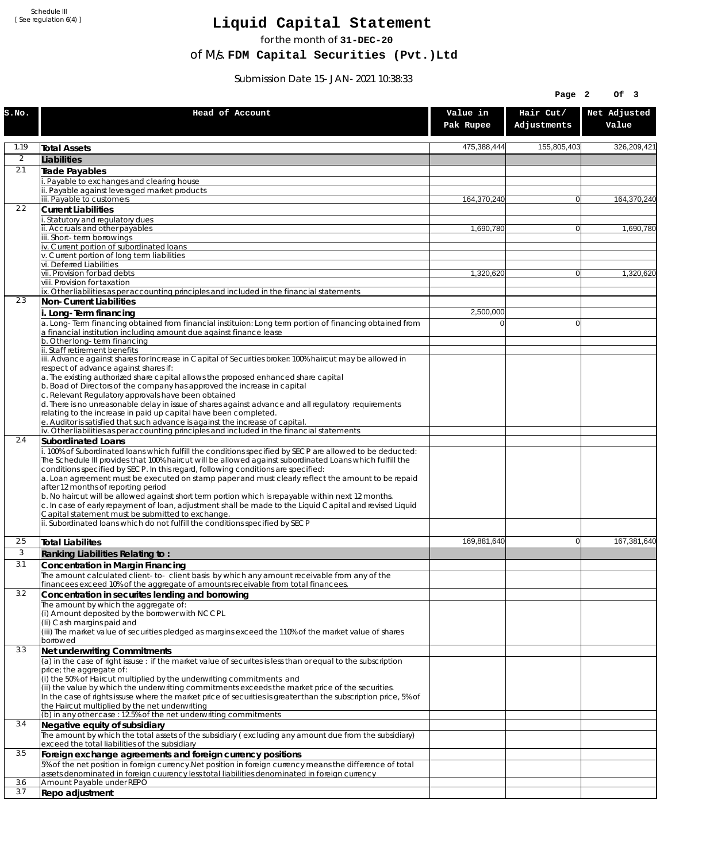Schedule III [ See regulation 6(4) ]

## **Liquid Capital Statement**

for the month of **31-DEC-20**

of M/s. **FDM Capital Securities (Pvt.)Ltd**

Submission Date 15-JAN-2021 10:38:33

|            |                                                                                                                                                                                                                |                       | Page 2                   | Of 3                  |
|------------|----------------------------------------------------------------------------------------------------------------------------------------------------------------------------------------------------------------|-----------------------|--------------------------|-----------------------|
| S.NO.      | Head of Account                                                                                                                                                                                                | Value in<br>Pak Rupee | Hair Cut/<br>Adjustments | Net Adjusted<br>Value |
| 1.19       | <b>Total Assets</b>                                                                                                                                                                                            | 475,388,444           | 155,805,403              | 326,209,421           |
| 2          | Liabilities                                                                                                                                                                                                    |                       |                          |                       |
| 2.1        | Trade Payables                                                                                                                                                                                                 |                       |                          |                       |
|            | Payable to exchanges and clearing house<br>ii. Payable against leveraged market products                                                                                                                       |                       |                          |                       |
|            | iii. Payable to customers                                                                                                                                                                                      | 164,370,240           | $\overline{0}$           | 164,370,240           |
| 2.2        | <b>Current Liabilities</b>                                                                                                                                                                                     |                       |                          |                       |
|            | . Statutory and regulatory dues<br>ii. Accruals and other payables                                                                                                                                             | 1,690,780             | $\overline{0}$           | 1.690.780             |
|            | iii. Short-term borrowings                                                                                                                                                                                     |                       |                          |                       |
|            | iv. Current portion of subordinated loans                                                                                                                                                                      |                       |                          |                       |
|            | v. Current portion of long term liabilities<br>vi. Deferred Liabilities                                                                                                                                        |                       |                          |                       |
|            | vii. Provision for bad debts                                                                                                                                                                                   | 1,320,620             | $\overline{0}$           | 1,320,620             |
|            | viii. Provision for taxation<br>ix. Other liabilities as per accounting principles and included in the financial statements                                                                                    |                       |                          |                       |
| 2.3        | Non-Current Liabilities                                                                                                                                                                                        |                       |                          |                       |
|            | i. Long-Term financing                                                                                                                                                                                         | 2,500,000             |                          |                       |
|            | a. Long-Term financing obtained from financial instituion: Long term portion of financing obtained from                                                                                                        | 0                     | $\Omega$                 |                       |
|            | a financial institution including amount due against finance lease                                                                                                                                             |                       |                          |                       |
|            | b. Other long-term financing<br>ii. Staff retirement benefits                                                                                                                                                  |                       |                          |                       |
|            | iii. Advance against shares for Increase in Capital of Securities broker: 100% haircut may be allowed in                                                                                                       |                       |                          |                       |
|            | respect of advance against shares if:<br>a. The existing authorized share capital allows the proposed enhanced share capital                                                                                   |                       |                          |                       |
|            | b. Boad of Directors of the company has approved the increase in capital                                                                                                                                       |                       |                          |                       |
|            | c. Relevant Regulatory approvals have been obtained                                                                                                                                                            |                       |                          |                       |
|            | d. There is no unreasonable delay in issue of shares against advance and all regulatory requirements<br>relating to the increase in paid up capital have been completed.                                       |                       |                          |                       |
|            | e. Auditor is satisfied that such advance is against the increase of capital.                                                                                                                                  |                       |                          |                       |
|            | iv. Other liabilities as per accounting principles and included in the financial statements                                                                                                                    |                       |                          |                       |
| 2.4        | Subordinated Loans<br>. 100% of Subordinated loans which fulfill the conditions specified by SECP are allowed to be deducted:                                                                                  |                       |                          |                       |
|            | The Schedule III provides that 100% haircut will be allowed against subordinated Loans which fulfill the<br>conditions specified by SECP. In this regard, following conditions are specified:                  |                       |                          |                       |
|            | a. Loan agreement must be executed on stamp paper and must clearly reflect the amount to be repaid<br>after 12 months of reporting period                                                                      |                       |                          |                       |
|            | b. No haircut will be allowed against short term portion which is repayable within next 12 months.<br>c. In case of early repayment of loan, adjustment shall be made to the Liquid Capital and revised Liquid |                       |                          |                       |
|            | Capital statement must be submitted to exchange.<br>ii. Subordinated loans which do not fulfill the conditions specified by SECP                                                                               |                       |                          |                       |
| 2.5        | <b>Total Liabilites</b>                                                                                                                                                                                        | 169,881,640           | $\overline{0}$           | 167,381,640           |
| 3          | Ranking Liabilities Relating to:                                                                                                                                                                               |                       |                          |                       |
| 3.1        | Concentration in Margin Financing                                                                                                                                                                              |                       |                          |                       |
|            | The amount calculated client-to- client basis by which any amount receivable from any of the                                                                                                                   |                       |                          |                       |
| 3.2        | financees exceed 10% of the aggregate of amounts receivable from total financees.<br>Concentration in securites lending and borrowing                                                                          |                       |                          |                       |
|            | The amount by which the aggregate of:                                                                                                                                                                          |                       |                          |                       |
|            | (i) Amount deposited by the borrower with NCCPL                                                                                                                                                                |                       |                          |                       |
|            | (Ii) Cash margins paid and<br>(iii) The market value of securities pledged as margins exceed the 110% of the market value of shares                                                                            |                       |                          |                       |
|            | borrowed                                                                                                                                                                                                       |                       |                          |                       |
| 3.3        | Net underwriting Commitments                                                                                                                                                                                   |                       |                          |                       |
|            | (a) in the case of right issuse : if the market value of securites is less than or equal to the subscription                                                                                                   |                       |                          |                       |
|            | price; the aggregate of:<br>(i) the 50% of Haircut multiplied by the underwriting commitments and                                                                                                              |                       |                          |                       |
|            | (ii) the value by which the underwriting commitments exceeds the market price of the securities.                                                                                                               |                       |                          |                       |
|            | In the case of rights issuse where the market price of securities is greater than the subscription price, 5% of                                                                                                |                       |                          |                       |
|            | the Haircut multiplied by the net underwriting<br>(b) in any other case : 12.5% of the net underwriting commitments                                                                                            |                       |                          |                       |
| 3.4        | Negative equity of subsidiary                                                                                                                                                                                  |                       |                          |                       |
|            | The amount by which the total assets of the subsidiary (excluding any amount due from the subsidiary)<br>exceed the total liabilities of the subsidiary                                                        |                       |                          |                       |
| 3.5        | Foreign exchange agreements and foreign currency positions                                                                                                                                                     |                       |                          |                       |
|            | 5% of the net position in foreign currency. Net position in foreign currency means the difference of total<br>assets denominated in foreign cuurency less total liabilities denominated in foreign currency    |                       |                          |                       |
| 3.6<br>3.7 | Amount Payable under REPO                                                                                                                                                                                      |                       |                          |                       |
|            | Repo adjustment                                                                                                                                                                                                |                       |                          |                       |